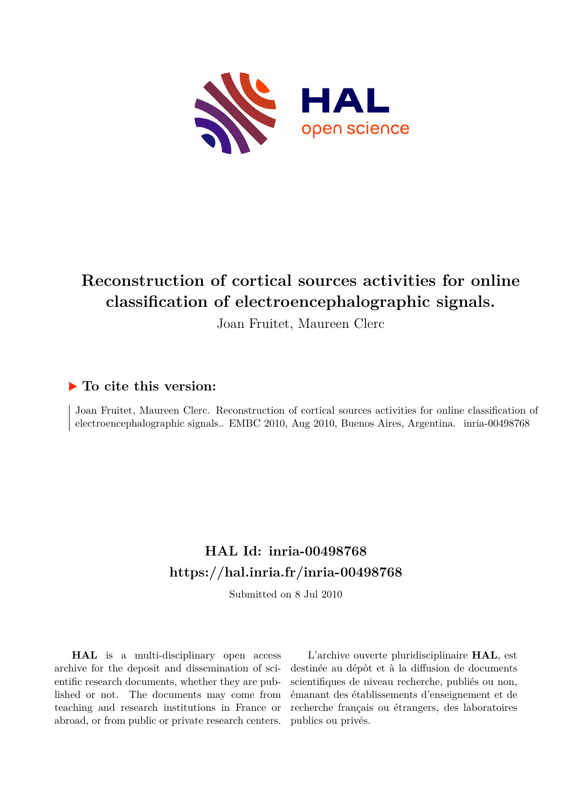

# **Reconstruction of cortical sources activities for online classification of electroencephalographic signals.**

Joan Fruitet, Maureen Clerc

# **To cite this version:**

Joan Fruitet, Maureen Clerc. Reconstruction of cortical sources activities for online classification of electroencephalographic signals.. EMBC 2010, Aug 2010, Buenos Aires, Argentina. inria-00498768

# **HAL Id: inria-00498768 <https://hal.inria.fr/inria-00498768>**

Submitted on 8 Jul 2010

**HAL** is a multi-disciplinary open access archive for the deposit and dissemination of scientific research documents, whether they are published or not. The documents may come from teaching and research institutions in France or abroad, or from public or private research centers.

L'archive ouverte pluridisciplinaire **HAL**, est destinée au dépôt et à la diffusion de documents scientifiques de niveau recherche, publiés ou non, émanant des établissements d'enseignement et de recherche français ou étrangers, des laboratoires publics ou privés.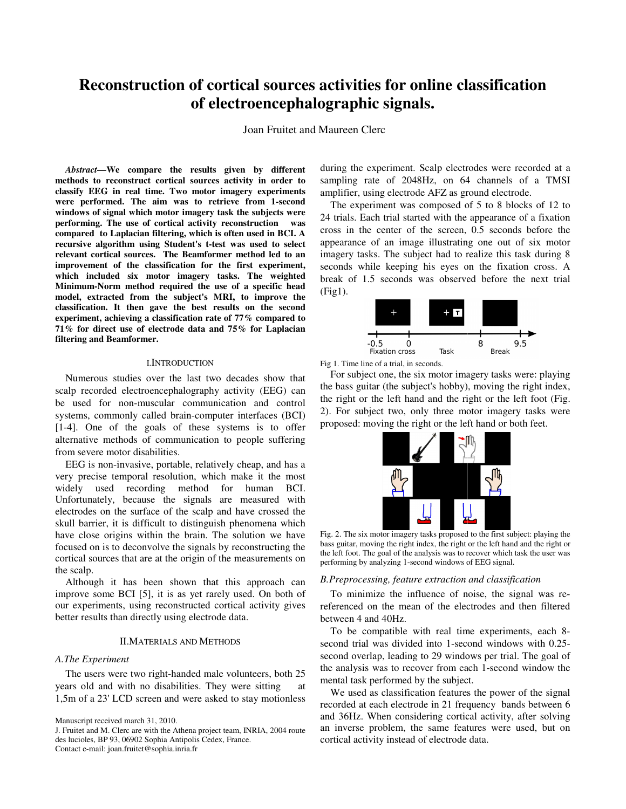# Reconstruction of cortical sources activities for online classification **of electroencephalographic signals.**

Joan Fruitet and Maureen Clerc

*Abstract***—We compare the results given by different methods to reconstruct cortical sources activity in order to classify EEG in real time. Two motor imagery experiments were performed. The aim was to retrieve from 1 windows of signal which motor imagery task the subjects were performing. The use of cortical activity reconstruction was compared to Laplacian filtering, which is often used in BCI. A recursive algorithm using Student's t-test was used to select relevant cortical sources. The Beamformer method led to an improvement of the classification for the first experiment, which included six motor imagery tasks. The weighted Minimum-Norm method required the use of a specific head model, extracted from the subject's MRI, to improve the classification. It then gave the best results on the second experiment, achieving a classification rate of 77% compared to 71% for direct use of electrode data and 75% for Laplacian filtering and Beamformer.**  compare the results given by different<br>astruct cortical sources activity in order to<br>real time. Two motor imagery experiments<br>The aim was to retrieve from 1-second windows of signal which motor imagery task the superforming. The use of cortical activity reconstruction compared to Laplacian filtering, which is often use recursive algorithm using Student's t-test was use relevant corti We compare the results given by different direct periodic were recorded at a state of the experiment. Scale at a state of the experiment is the experiment of the experiment of the experiment of the experiment of the exper

#### I.INTRODUCTION

Numerous studies over the last two decades show that scalp recorded electroencephalography activity (EEG) can be used for non-muscular communication and control systems, commonly called brain-computer interfaces (BCI) [1-4]. One of the goals of these systems is to offer alternative methods of communication to people suffering from severe motor disabilities. used for non-muscular communication and control<br>tems, commonly called brain-computer interfaces (BCI)<br>4]. One of the goals of these systems is to offer<br>ernative methods of communication to people suffering<br>m severe motor d

EEG is non-invasive, portable, relatively cheap, and has a very precise temporal resolution, which make it the most widely used recording method for human BCI. Unfortunately, because the signals are measured with electrodes on the surface of the scalp and have crossed the skull barrier, it is difficult to distinguish phenomena which have close origins within the brain. The solution we have focused on is to deconvolve the signals by reconstructing cortical sources that are at the origin of the measurements on the scalp. e temporal resolution, which make it the most<br>sed recording method for human BCI.<br>Ply, because the signals are measured with<br>on the surface of the scalp and have crossed the<br>r, it is difficult to distinguish phenomena whic

Although it has been shown that this approach can improve some BCI [5], it is as yet rarely used. On both of our experiments, using reconstructed cortical activity gives better results than directly using electrode data. cortical sources that are at the origin of the measurements on<br>the scalp.<br>Although it has been shown that this approach can<br>improve some BCI [5], it is as yet rarely used. On both of<br>our experiments, using reconstructed co

## II.MATERIALS AND METHODS

#### *A.The Experiment*

The users were two right-handed male volunteers, both 25 years old and with no disabilities. They were sitting at The users were two right-handed male volunteers, both 25 years old and with no disabilities. They were sitting at 1,5m of a 23' LCD screen and were asked to stay motionless

sampling rate of 2048Hz, on 64 channels of a TMSI amplifier, using electrode AFZ as ground electrode. during the experiment. Scalp electrodes were recorded at a

must up the experiment was composed of 5 to 8 blocks of 12 to the experiment was composed of 5 to 8 blocks of 12 to 24 trials. Each trial started with the appearance of a fixation cross in the center of the screen, 0.5 seconds before the appearance of an image illustrating one out of six motor imagery tasks. The subject had to realize this task during 8 seconds while keeping his eyes on the fixation cross. A break of 1.5 seconds was observed before the next trial (Fig1).



Fig 1. Time line of a trial, in seconds.

For subject one, the six motor imagery tasks were: playing the bass guitar (the subject's hobby), moving the right index, the right or the left hand and the right or the left foot (Fig. (Fig. 2). For subject two, only three motor imagery tasks were proposed: moving the right or the left hand or both feet.



Fig. 2. The six motor imagery tasks proposed to the first subject: playing the bass guitar, moving the right index, the right or the left hand and the right or the left foot. The goal of the analysis was to recover which task the user was performing by analyzing 1-second windows of EEG signal. ng the right index, the right or the left hand and the right<br>goal of the analysis was to recover which task the user w<br>alyzing 1-second windows of EEG signal.

## *B.Preprocessing, feature extraction and classification Preprocessing, feature extraction*

To minimize the influence of noise, the signal was rereferenced on the mean of the electrodes and then filtered between 4 and 40Hz.

To be compatible with real time experiments, each 8second trial was divided into 1-second windows with 0.25second overlap, leading to 29 windows per trial. The goal of the analysis was to recover from each 1-second window the mental task performed by the subject. ental task performed by the subject.<br>We used as classification features the power of the signal

recorded at each electrode in 21 frequency bands between 6 and 36Hz. When considering cortical activity, after solving an inverse problem, the same features were used, but on cortical activity instead of electrode data.

Manuscript received march 31, 2010.

J. Fruitet and M. Clerc are with the Athena project team, INRIA, 2004 route des lucioles, BP 93, 06902 Sophia Antipolis Cedex, France.

Contact e-mail: joan.fruitet@sophia.inria.fr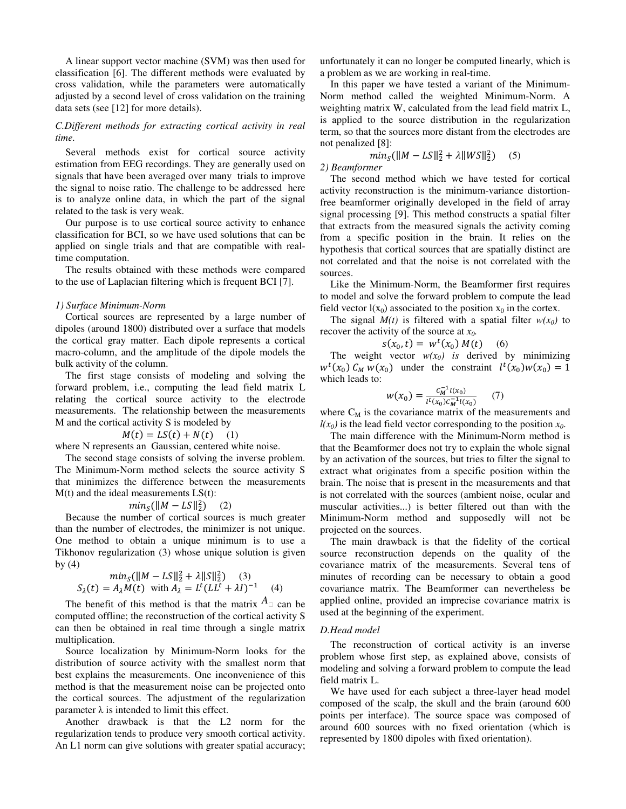A linear support vector machine (SVM) was then used for classification [6]. The different methods were evaluated by cross validation, while the parameters were automatically adjusted by a second level of cross validation on the training data sets (see [12] for more details).

# *C.Different methods for extracting cortical activity in real time.*

 Several methods exist for cortical source activity estimation from EEG recordings. They are generally used on signals that have been averaged over many trials to improve the signal to noise ratio. The challenge to be addressed here is to analyze online data, in which the part of the signal related to the task is very weak.

 Our purpose is to use cortical source activity to enhance classification for BCI, so we have used solutions that can be applied on single trials and that are compatible with realtime computation.

 The results obtained with these methods were compared to the use of Laplacian filtering which is frequent BCI [7].

## *1) Surface Minimum-Norm*

 Cortical sources are represented by a large number of dipoles (around 1800) distributed over a surface that models the cortical gray matter. Each dipole represents a cortical macro-column, and the amplitude of the dipole models the bulk activity of the column.

 The first stage consists of modeling and solving the forward problem, i.e., computing the lead field matrix L relating the cortical source activity to the electrode measurements. The relationship between the measurements M and the cortical activity S is modeled by

$$
M(t) = LS(t) + N(t) \quad (1)
$$

where N represents an Gaussian, centered white noise.

 The second stage consists of solving the inverse problem. The Minimum-Norm method selects the source activity S that minimizes the difference between the measurements  $M(t)$  and the ideal measurements  $LS(t)$ :

$$
minS(\|M-LS\|_2^2)
$$
 (2)

 Because the number of cortical sources is much greater than the number of electrodes, the minimizer is not unique. One method to obtain a unique minimum is to use a Tikhonov regularization (3) whose unique solution is given by  $(4)$ 

$$
min_{S}(\|M - LS\|_{2}^{2} + \lambda \|S\|_{2}^{2}) \quad (3)
$$
  

$$
S_{\lambda}(t) = A_{\lambda}M(t) \text{ with } A_{\lambda} = L^{t}(LL^{t} + \lambda I)^{-1} \quad (4)
$$

The benefit of this method is that the matrix  $A$  can be computed offline; the reconstruction of the cortical activity S can then be obtained in real time through a single matrix multiplication.

 Source localization by Minimum-Norm looks for the distribution of source activity with the smallest norm that best explains the measurements. One inconvenience of this method is that the measurement noise can be projected onto the cortical sources. The adjustment of the regularization parameter  $\lambda$  is intended to limit this effect.

 Another drawback is that the L2 norm for the regularization tends to produce very smooth cortical activity. An L1 norm can give solutions with greater spatial accuracy; unfortunately it can no longer be computed linearly, which is a problem as we are working in real-time.

 In this paper we have tested a variant of the Minimum-Norm method called the weighted Minimum-Norm. A weighting matrix W, calculated from the lead field matrix L, is applied to the source distribution in the regularization term, so that the sources more distant from the electrodes are not penalized [8]:

$$
min_{S}(\|M - LS\|_{2}^{2} + \lambda \|WS\|_{2}^{2}) \quad (5)
$$

*2) Beamformer* 

 The second method which we have tested for cortical activity reconstruction is the minimum-variance distortionfree beamformer originally developed in the field of array signal processing [9]. This method constructs a spatial filter that extracts from the measured signals the activity coming from a specific position in the brain. It relies on the hypothesis that cortical sources that are spatially distinct are not correlated and that the noise is not correlated with the sources.

 Like the Minimum-Norm, the Beamformer first requires to model and solve the forward problem to compute the lead field vector  $l(x_0)$  associated to the position  $x_0$  in the cortex.

The signal  $M(t)$  is filtered with a spatial filter  $w(x_0)$  to recover the activity of the source at *x0.* 

$$
s(x_0, t) = w^t(x_0) M(t) \quad (6)
$$

The weight vector  $w(x_0)$  is derived by minimizing  $w^{t}(x_0) C_M w(x_0)$  under the constraint  $l^{t}(x_0)w(x_0) = 1$ which leads to:

$$
w(x_0) = \frac{c_M^{-1}l(x_0)}{l^t(x_0)c_M^{-1}l(x_0)} \qquad (7)
$$

where  $C_M$  is the covariance matrix of the measurements and  $l(x_0)$  is the lead field vector corresponding to the position  $x_0$ .

 The main difference with the Minimum-Norm method is that the Beamformer does not try to explain the whole signal by an activation of the sources, but tries to filter the signal to extract what originates from a specific position within the brain. The noise that is present in the measurements and that is not correlated with the sources (ambient noise, ocular and muscular activities...) is better filtered out than with the Minimum-Norm method and supposedly will not be projected on the sources.

 The main drawback is that the fidelity of the cortical source reconstruction depends on the quality of the covariance matrix of the measurements. Several tens of minutes of recording can be necessary to obtain a good covariance matrix. The Beamformer can nevertheless be applied online, provided an imprecise covariance matrix is used at the beginning of the experiment.

#### *D.Head model*

 The reconstruction of cortical activity is an inverse problem whose first step, as explained above, consists of modeling and solving a forward problem to compute the lead field matrix L.

 We have used for each subject a three-layer head model composed of the scalp, the skull and the brain (around 600 points per interface). The source space was composed of around 600 sources with no fixed orientation (which is represented by 1800 dipoles with fixed orientation).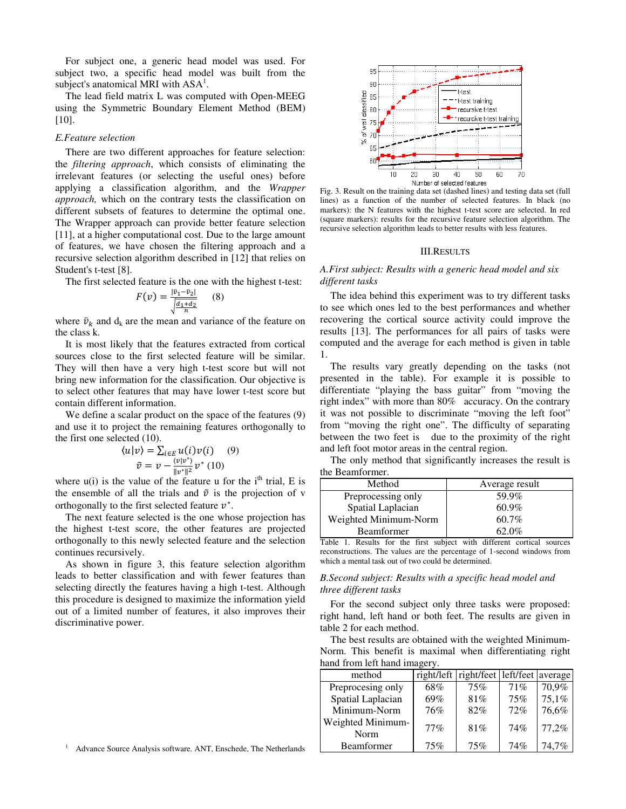For subject one, a generic head model was used. For subject two, a specific head model was built from the subject's anatomical MRI with  $ASA^1$ .

 The lead field matrix L was computed with Open-MEEG using the Symmetric Boundary Element Method (BEM) [10].

# *E.Feature selection*

 There are two different approaches for feature selection: the *filtering approach*, which consists of eliminating the irrelevant features (or selecting the useful ones) before applying a classification algorithm, and the *Wrapper approach,* which on the contrary tests the classification on different subsets of features to determine the optimal one. The Wrapper approach can provide better feature selection [11], at a higher computational cost. Due to the large amount of features, we have chosen the filtering approach and a recursive selection algorithm described in [12] that relies on Student's t-test [8].

The first selected feature is the one with the highest t-test:

$$
F(v) = \frac{|\bar{v}_1 - \bar{v}_2|}{\sqrt{\frac{d_1 + d_2}{n}}}
$$
 (8)

where  $\bar{v}_k$  and  $d_k$  are the mean and variance of the feature on the class k.

 It is most likely that the features extracted from cortical sources close to the first selected feature will be similar. They will then have a very high t-test score but will not bring new information for the classification. Our objective is to select other features that may have lower t-test score but contain different information.

 We define a scalar product on the space of the features (9) and use it to project the remaining features orthogonally to the first one selected (10).

$$
\langle u|v\rangle = \sum_{i \in E} u(i)v(i) \quad (9)
$$

$$
\tilde{v} = v - \frac{\langle v|v^* \rangle}{\|v^*\|^2} v^* \quad (10)
$$

where  $u(i)$  is the value of the feature u for the i<sup>th</sup> trial, E is the ensemble of all the trials and  $\tilde{v}$  is the projection of v orthogonally to the first selected feature  $v^*$ .

 The next feature selected is the one whose projection has the highest t-test score, the other features are projected orthogonally to this newly selected feature and the selection continues recursively.

 As shown in figure 3, this feature selection algorithm leads to better classification and with fewer features than selecting directly the features having a high t-test. Although this procedure is designed to maximize the information yield out of a limited number of features, it also improves their discriminative power.



Fig. 3. Result on the training data set (dashed lines) and testing data set (full lines) as a function of the number of selected features. In black (no markers): the N features with the highest t-test score are selected. In red (square markers): results for the recursive feature selection algorithm. The recursive selection algorithm leads to better results with less features.

#### III.RESULTS

# *A.First subject: Results with a generic head model and six different tasks*

 The idea behind this experiment was to try different tasks to see which ones led to the best performances and whether recovering the cortical source activity could improve the results [13]. The performances for all pairs of tasks were computed and the average for each method is given in table 1.

 The results vary greatly depending on the tasks (not presented in the table). For example it is possible to differentiate "playing the bass guitar" from "moving the right index" with more than 80% accuracy. On the contrary it was not possible to discriminate "moving the left foot" from "moving the right one". The difficulty of separating between the two feet is due to the proximity of the right and left foot motor areas in the central region.

 The only method that significantly increases the result is the Beamformer.

| Method                | Average result |  |  |
|-----------------------|----------------|--|--|
| Preprocessing only    | 59.9%          |  |  |
| Spatial Laplacian     | $60.9\%$       |  |  |
| Weighted Minimum-Norm | $60.7\%$       |  |  |
| <b>Beamformer</b>     | $62.0\%$       |  |  |

Table 1. Results for the first subject with different cortical sources reconstructions. The values are the percentage of 1-second windows from which a mental task out of two could be determined.

# *B.Second subject: Results with a specific head model and three different tasks*

 For the second subject only three tasks were proposed: right hand, left hand or both feet. The results are given in table 2 for each method.

 The best results are obtained with the weighted Minimum-Norm. This benefit is maximal when differentiating right hand from left hand imagery.

| method                    |     | right/left right/feet left/feet average |     |       |
|---------------------------|-----|-----------------------------------------|-----|-------|
| Preprocesing only         | 68% | 75%                                     | 71% | 70,9% |
| Spatial Laplacian         | 69% | 81%                                     | 75% | 75,1% |
| Minimum-Norm              | 76% | 82%                                     | 72% | 76,6% |
| Weighted Minimum-<br>Norm | 77% | 81%                                     | 74% | 77,2% |
| <b>Beamformer</b>         | 75% | 75%                                     | 74% | 74.7% |

<sup>1</sup> Advance Source Analysis software. ANT, Enschede, The Netherlands